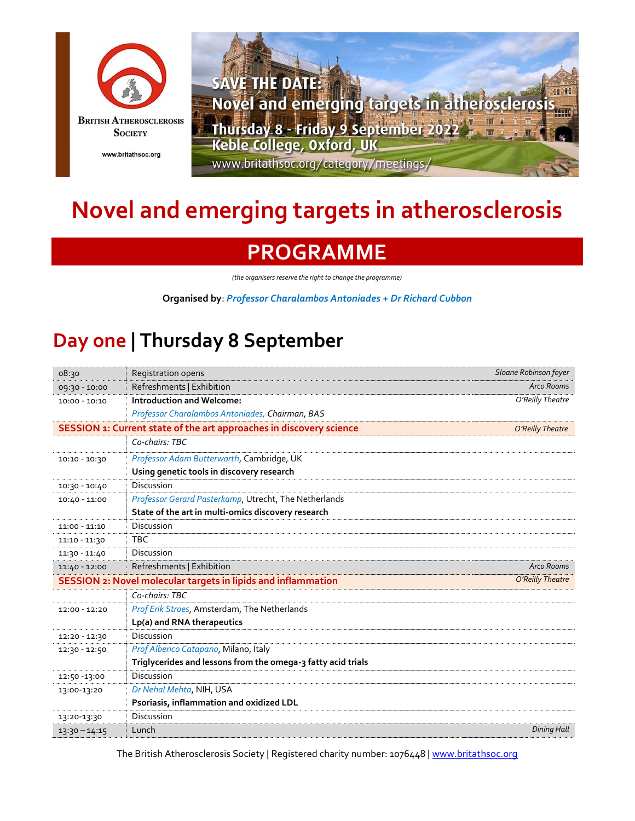



## **Novel and emerging targets in atherosclerosis**

## **PROGRAMME**

*(the organisers reserve the right to change the programme)*

**Organised by**: *Professor Charalambos Antoniades + Dr Richard Cubbon*

## **Day one | Thursday 8 September**

| 08:30                                                               | <b>Registration opens</b>                                    | Sloane Robinson foyer |
|---------------------------------------------------------------------|--------------------------------------------------------------|-----------------------|
| 09:30 - 10:00                                                       | Refreshments   Exhibition                                    | Arco Rooms            |
| $10:00 - 10:10$                                                     | <b>Introduction and Welcome:</b>                             | O'Reilly Theatre      |
|                                                                     | Professor Charalambos Antoniades, Chairman, BAS              |                       |
| SESSION 1: Current state of the art approaches in discovery science | O'Reilly Theatre                                             |                       |
|                                                                     | Co-chairs: TBC                                               |                       |
| $10:10 - 10:30$                                                     | Professor Adam Butterworth, Cambridge, UK                    |                       |
|                                                                     | Using genetic tools in discovery research                    |                       |
| $10:30 - 10:40$                                                     | Discussion                                                   |                       |
| $10:40 - 11:00$                                                     | Professor Gerard Pasterkamp, Utrecht, The Netherlands        |                       |
|                                                                     | State of the art in multi-omics discovery research           |                       |
| 11:00 - 11:10                                                       | Discussion                                                   |                       |
| 11:10 - 11:30                                                       | <b>TBC</b>                                                   |                       |
| 11:30 - 11:40                                                       | Discussion                                                   |                       |
| 11:40 - 12:00                                                       | Refreshments   Exhibition                                    | Arco Rooms            |
| SESSION 2: Novel molecular targets in lipids and inflammation       |                                                              | O'Reilly Theatre      |
|                                                                     | Co-chairs: TBC                                               |                       |
| 12:00 - 12:20                                                       | Prof Erik Stroes, Amsterdam, The Netherlands                 |                       |
|                                                                     | Lp(a) and RNA therapeutics                                   |                       |
| 12:20 - 12:30                                                       | Discussion                                                   |                       |
| 12:30 - 12:50                                                       | Prof Alberico Catapano, Milano, Italy                        |                       |
|                                                                     | Triglycerides and lessons from the omega-3 fatty acid trials |                       |
| 12:50 - 13:00                                                       | Discussion                                                   |                       |
| 13:00-13:20                                                         | Dr Nehal Mehta, NIH, USA                                     |                       |
|                                                                     | Psoriasis, inflammation and oxidized LDL                     |                       |
| 13:20-13:30                                                         | Discussion                                                   |                       |
| $13:30 - 14:15$                                                     | Lunch                                                        | <b>Dining Hall</b>    |

The British Atherosclerosis Society | Registered charity number: 1076448 | [www.britathsoc.org](http://www.britathsoc.org/)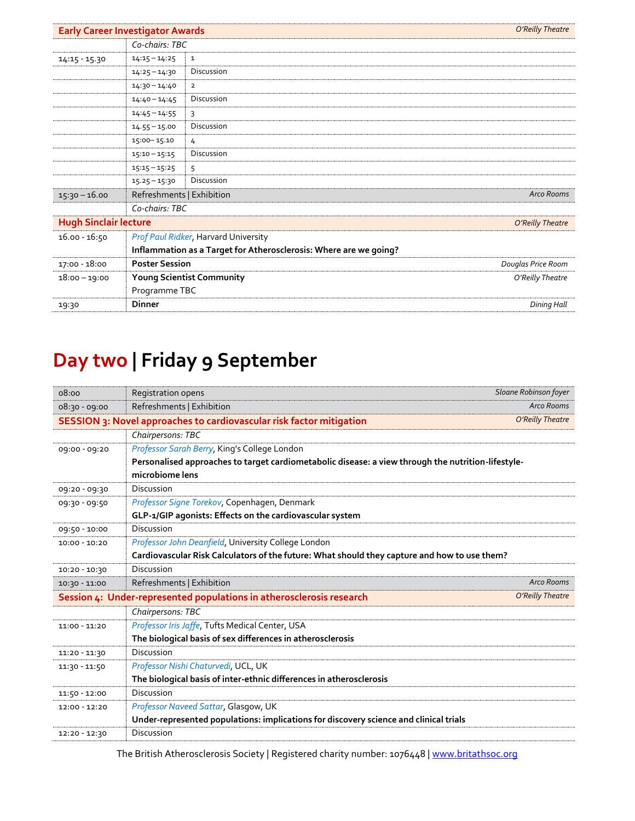| <b>Early Career Investigator Awards</b> |                                                                   |                                             | O'Reilly Theatre   |
|-----------------------------------------|-------------------------------------------------------------------|---------------------------------------------|--------------------|
|                                         | Co-chairs: TBC                                                    |                                             |                    |
| $14:15 - 15.30$                         | $14:15 - 14:25$                                                   | 1                                           |                    |
|                                         | $14:25 - 14:30$                                                   | Discussion                                  |                    |
|                                         | $14:30 - 14:40$                                                   | $\overline{2}$                              |                    |
|                                         | $14:40 - 14:45$                                                   | Discussion                                  |                    |
|                                         | $14:45 - 14:55$                                                   | 3                                           |                    |
|                                         | $14.55 - 15.00$                                                   | Discussion                                  |                    |
|                                         | 15:00 - 15.10                                                     | 4                                           |                    |
|                                         | $15:10 - 15:15$                                                   | Discussion                                  |                    |
|                                         | $15:15 - 15:25$                                                   | 5                                           |                    |
|                                         | $15.25 - 15:30$                                                   | Discussion                                  |                    |
| $15:30 - 16.00$                         | Refreshments   Exhibition                                         |                                             | Arco Rooms         |
|                                         | Co-chairs: TBC                                                    |                                             |                    |
| <b>Hugh Sinclair lecture</b>            |                                                                   | O'Reilly Theatre                            |                    |
| 16.00 - 16:50                           |                                                                   | <b>Prof Paul Ridker, Harvard University</b> |                    |
|                                         | Inflammation as a Target for Atherosclerosis: Where are we going? |                                             |                    |
| $17:00 - 18:00$                         | <b>Poster Session</b>                                             |                                             | Douglas Price Room |
| $18:00 - 19:00$                         | Young Scientist Community                                         |                                             | O'Reilly Theatre   |
|                                         | Programme TBC                                                     |                                             |                    |
| 19:30                                   | <b>Dinner</b>                                                     |                                             | Dining Hall        |

## **Day two | Friday 9 September**

| 08:00                                                                                    | Registration opens                                                                                 | Sloane Robinson foyer |  |
|------------------------------------------------------------------------------------------|----------------------------------------------------------------------------------------------------|-----------------------|--|
| $08:30 - 09:00$                                                                          | Refreshments   Exhibition<br><b>Arco Rooms</b>                                                     |                       |  |
|                                                                                          | SESSION 3: Novel approaches to cardiovascular risk factor mitigation                               | O'Reilly Theatre      |  |
|                                                                                          | Chairpersons: TBC                                                                                  |                       |  |
| 09:00 - 09:20                                                                            | Professor Sarah Berry, King's College London                                                       |                       |  |
|                                                                                          | Personalised approaches to target cardiometabolic disease: a view through the nutrition-lifestyle- |                       |  |
|                                                                                          | microbiome lens                                                                                    |                       |  |
| 09:20 - 09:30                                                                            | Discussion                                                                                         |                       |  |
| 09:30 - 09:50                                                                            | Professor Signe Torekov, Copenhagen, Denmark                                                       |                       |  |
|                                                                                          | GLP-1/GIP agonists: Effects on the cardiovascular system                                           |                       |  |
| 09:50 - 10:00                                                                            | Discussion                                                                                         |                       |  |
| $10:00 - 10:20$                                                                          | Professor John Deanfield, University College London                                                |                       |  |
|                                                                                          | Cardiovascular Risk Calculators of the future: What should they capture and how to use them?       |                       |  |
| $10:20 - 10:30$                                                                          | Discussion                                                                                         |                       |  |
| $10:30 - 11:00$                                                                          | Refreshments   Exhibition                                                                          | <b>Arco Rooms</b>     |  |
| O'Reilly Theatre<br>Session 4: Under-represented populations in atherosclerosis research |                                                                                                    |                       |  |
|                                                                                          | Chairpersons: TBC                                                                                  |                       |  |
| 11:00 - 11:20                                                                            | Professor Iris Jaffe, Tufts Medical Center, USA                                                    |                       |  |
|                                                                                          | The biological basis of sex differences in atherosclerosis                                         |                       |  |
| 11:20 - 11:30                                                                            | Discussion                                                                                         |                       |  |
| 11:30 - 11:50                                                                            | Professor Nishi Chaturvedi, UCL, UK                                                                |                       |  |
|                                                                                          | The biological basis of inter-ethnic differences in atherosclerosis                                |                       |  |
| $11:50 - 12:00$                                                                          | Discussion                                                                                         |                       |  |
| 12:00 - 12:20                                                                            | Professor Naveed Sattar, Glasgow, UK                                                               |                       |  |
|                                                                                          | Under-represented populations: implications for discovery science and clinical trials              |                       |  |
| 12:20 - 12:30                                                                            | Discussion                                                                                         |                       |  |

The British Atherosclerosis Society | Registered charity number: 1076448 | [www.britathsoc.org](http://www.britathsoc.org/)